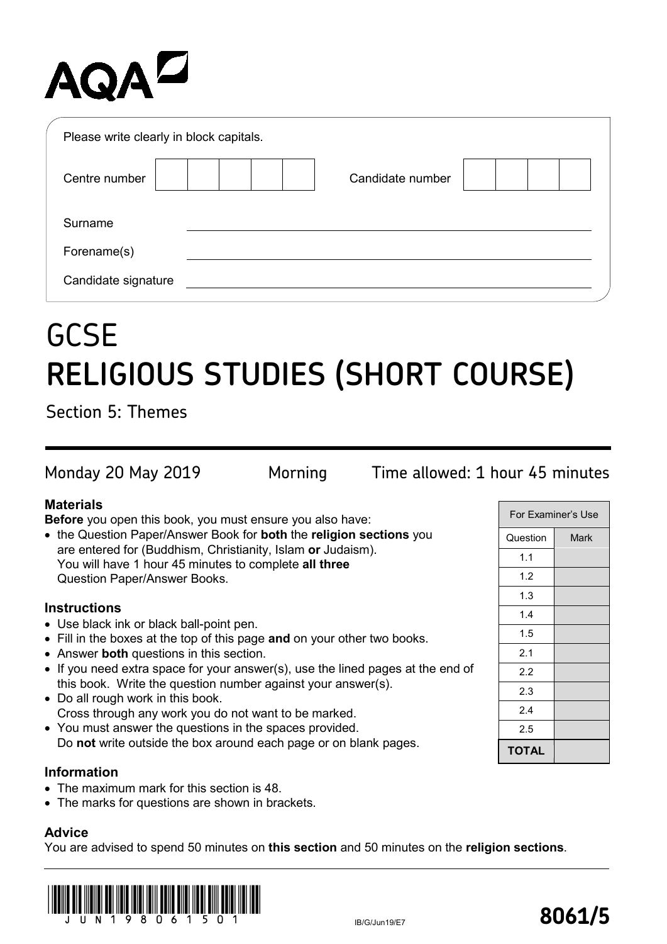# AQA<sup>D</sup>

| Please write clearly in block capitals. |                  |  |
|-----------------------------------------|------------------|--|
| Centre number                           | Candidate number |  |
| Surname                                 |                  |  |
| Forename(s)                             |                  |  |
| Candidate signature                     |                  |  |

# GCSE **RELIGIOUS STUDIES (SHORT COURSE)**

Section 5: Themes

Monday 20 May 2019 Morning Time allowed: 1 hour 45 minutes

### **Materials**

**Before** you open this book, you must ensure you also have:

• the Question Paper/Answer Book for **both** the **religion sections** you are entered for (Buddhism, Christianity, Islam **or** Judaism). You will have 1 hour 45 minutes to complete **all three** Question Paper/Answer Books.

#### **Instructions**

- Use black ink or black ball-point pen.
- Fill in the boxes at the top of this page **and** on your other two books.
- Answer **both** questions in this section.
- If you need extra space for your answer(s), use the lined pages at the end of this book. Write the question number against your answer(s).
- Do all rough work in this book. Cross through any work you do not want to be marked.
- You must answer the questions in the spaces provided.
- Do **not** write outside the box around each page or on blank pages.

#### **Information**

- The maximum mark for this section is 48.
- The marks for questions are shown in brackets.

## **Advice**

You are advised to spend 50 minutes on **this section** and 50 minutes on the **religion sections**.





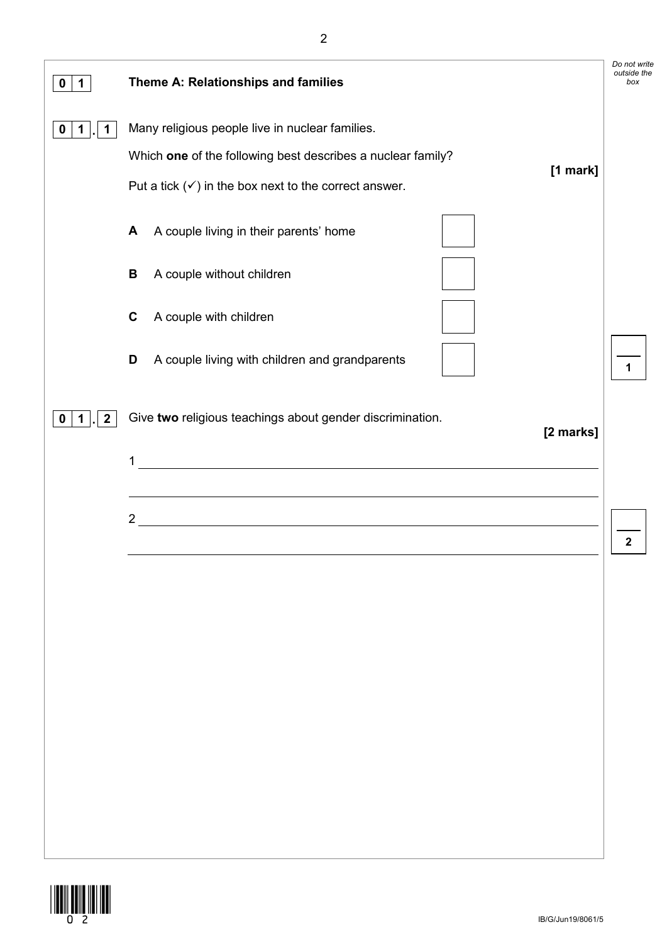| Many religious people live in nuclear families.<br>0<br>Which one of the following best describes a nuclear family?<br>[1 mark]<br>Put a tick $(\checkmark)$ in the box next to the correct answer.<br>A couple living in their parents' home<br>A<br>A couple without children<br>B<br>A couple with children<br>$\mathbf c$<br>D<br>A couple living with children and grandparents<br>Give two religious teachings about gender discrimination.<br>$\overline{2}$<br>0<br>1<br>[2 marks]<br><u> 1989 - Johann Stoff, deutscher Stoffen und der Stoffen und der Stoffen und der Stoffen und der Stoffen und der</u><br>1<br>$\overline{2}$<br><u> 1989 - Johann Stoff, deutscher Stoffen und der Stoffen und der Stoffen und der Stoffen und der Stoffen und der</u> | 1            |
|-----------------------------------------------------------------------------------------------------------------------------------------------------------------------------------------------------------------------------------------------------------------------------------------------------------------------------------------------------------------------------------------------------------------------------------------------------------------------------------------------------------------------------------------------------------------------------------------------------------------------------------------------------------------------------------------------------------------------------------------------------------------------|--------------|
|                                                                                                                                                                                                                                                                                                                                                                                                                                                                                                                                                                                                                                                                                                                                                                       |              |
|                                                                                                                                                                                                                                                                                                                                                                                                                                                                                                                                                                                                                                                                                                                                                                       |              |
|                                                                                                                                                                                                                                                                                                                                                                                                                                                                                                                                                                                                                                                                                                                                                                       |              |
|                                                                                                                                                                                                                                                                                                                                                                                                                                                                                                                                                                                                                                                                                                                                                                       |              |
|                                                                                                                                                                                                                                                                                                                                                                                                                                                                                                                                                                                                                                                                                                                                                                       |              |
|                                                                                                                                                                                                                                                                                                                                                                                                                                                                                                                                                                                                                                                                                                                                                                       |              |
|                                                                                                                                                                                                                                                                                                                                                                                                                                                                                                                                                                                                                                                                                                                                                                       |              |
|                                                                                                                                                                                                                                                                                                                                                                                                                                                                                                                                                                                                                                                                                                                                                                       |              |
|                                                                                                                                                                                                                                                                                                                                                                                                                                                                                                                                                                                                                                                                                                                                                                       |              |
|                                                                                                                                                                                                                                                                                                                                                                                                                                                                                                                                                                                                                                                                                                                                                                       |              |
|                                                                                                                                                                                                                                                                                                                                                                                                                                                                                                                                                                                                                                                                                                                                                                       | $\mathbf{2}$ |
|                                                                                                                                                                                                                                                                                                                                                                                                                                                                                                                                                                                                                                                                                                                                                                       |              |
|                                                                                                                                                                                                                                                                                                                                                                                                                                                                                                                                                                                                                                                                                                                                                                       |              |
|                                                                                                                                                                                                                                                                                                                                                                                                                                                                                                                                                                                                                                                                                                                                                                       |              |
|                                                                                                                                                                                                                                                                                                                                                                                                                                                                                                                                                                                                                                                                                                                                                                       |              |
|                                                                                                                                                                                                                                                                                                                                                                                                                                                                                                                                                                                                                                                                                                                                                                       |              |
|                                                                                                                                                                                                                                                                                                                                                                                                                                                                                                                                                                                                                                                                                                                                                                       |              |
|                                                                                                                                                                                                                                                                                                                                                                                                                                                                                                                                                                                                                                                                                                                                                                       |              |
|                                                                                                                                                                                                                                                                                                                                                                                                                                                                                                                                                                                                                                                                                                                                                                       |              |
|                                                                                                                                                                                                                                                                                                                                                                                                                                                                                                                                                                                                                                                                                                                                                                       |              |

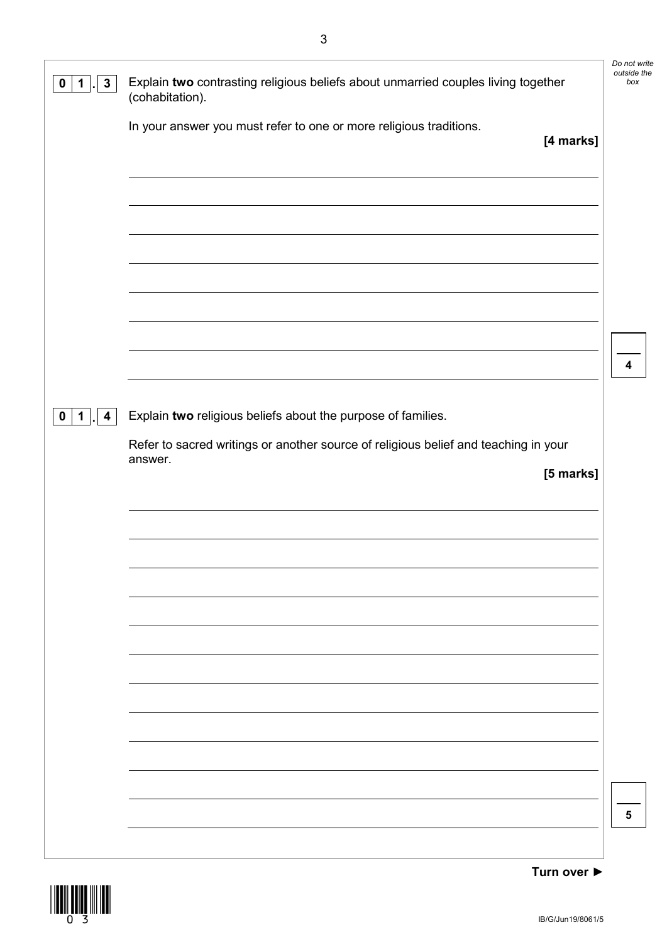| 3 <sup>1</sup><br>$\mathbf 1$<br>0 | Explain two contrasting religious beliefs about unmarried couples living together<br>(cohabitation). | Do not write<br>outside the<br>box |
|------------------------------------|------------------------------------------------------------------------------------------------------|------------------------------------|
|                                    | In your answer you must refer to one or more religious traditions.<br>[4 marks]                      |                                    |
|                                    |                                                                                                      |                                    |
|                                    |                                                                                                      |                                    |
|                                    |                                                                                                      |                                    |
|                                    |                                                                                                      | 4                                  |
| 4<br>1<br>0                        | Explain two religious beliefs about the purpose of families.                                         |                                    |
|                                    | Refer to sacred writings or another source of religious belief and teaching in your<br>answer.       |                                    |
|                                    |                                                                                                      |                                    |
|                                    | [5 marks]                                                                                            |                                    |
|                                    |                                                                                                      |                                    |
|                                    |                                                                                                      |                                    |
|                                    |                                                                                                      |                                    |
|                                    |                                                                                                      |                                    |
|                                    |                                                                                                      |                                    |
|                                    |                                                                                                      |                                    |
|                                    |                                                                                                      |                                    |
|                                    |                                                                                                      |                                    |
|                                    |                                                                                                      |                                    |
|                                    |                                                                                                      | 5                                  |

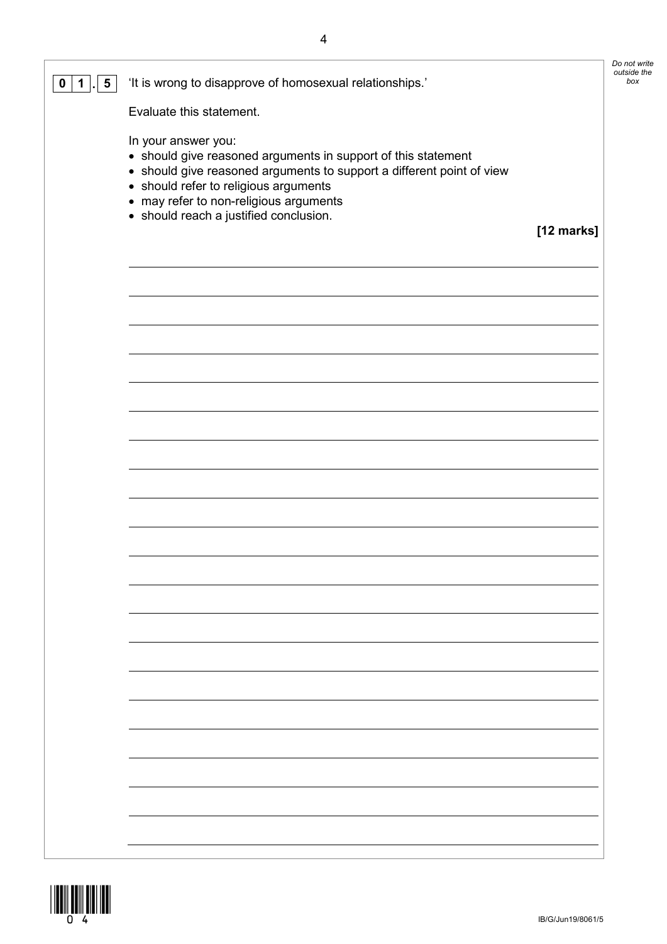| $5\phantom{1}$<br>0<br>1. | 'It is wrong to disapprove of homosexual relationships.'                                                                                                                                                                                                                                   |            | Do not<br>outside<br>bo) |
|---------------------------|--------------------------------------------------------------------------------------------------------------------------------------------------------------------------------------------------------------------------------------------------------------------------------------------|------------|--------------------------|
|                           | Evaluate this statement.                                                                                                                                                                                                                                                                   |            |                          |
|                           | In your answer you:<br>• should give reasoned arguments in support of this statement<br>• should give reasoned arguments to support a different point of view<br>• should refer to religious arguments<br>• may refer to non-religious arguments<br>• should reach a justified conclusion. | [12 marks] |                          |
|                           |                                                                                                                                                                                                                                                                                            |            |                          |
|                           |                                                                                                                                                                                                                                                                                            |            |                          |
|                           |                                                                                                                                                                                                                                                                                            |            |                          |
|                           |                                                                                                                                                                                                                                                                                            |            |                          |
|                           |                                                                                                                                                                                                                                                                                            |            |                          |
|                           |                                                                                                                                                                                                                                                                                            |            |                          |
|                           |                                                                                                                                                                                                                                                                                            |            |                          |
|                           |                                                                                                                                                                                                                                                                                            |            |                          |
|                           |                                                                                                                                                                                                                                                                                            |            |                          |
|                           |                                                                                                                                                                                                                                                                                            |            |                          |
|                           |                                                                                                                                                                                                                                                                                            |            |                          |
|                           |                                                                                                                                                                                                                                                                                            |            |                          |
|                           |                                                                                                                                                                                                                                                                                            |            |                          |



| Do not write<br>outside the |
|-----------------------------|
| box                         |
|                             |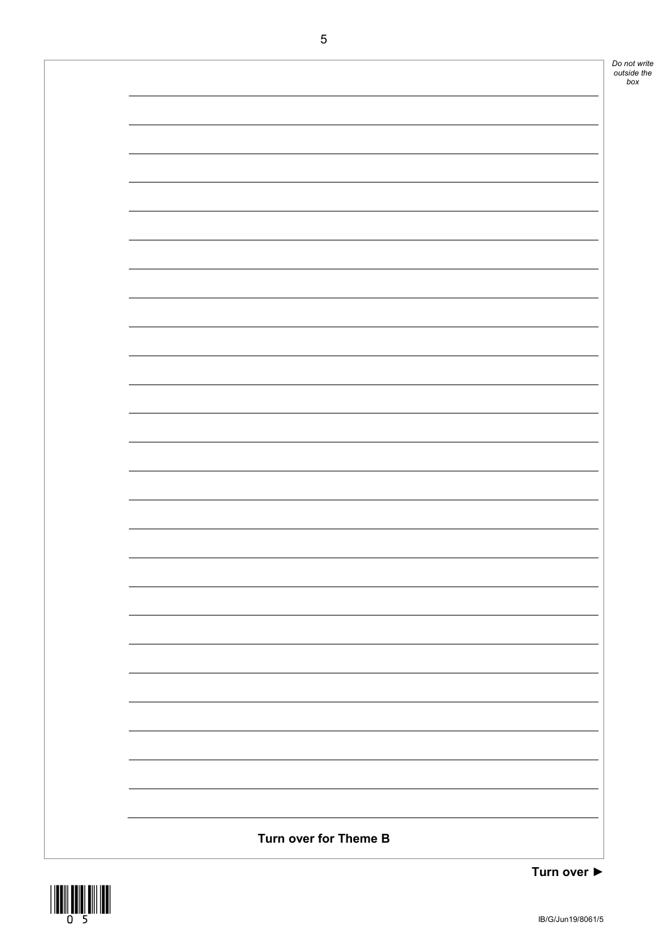



IB/G/Jun19/8061/5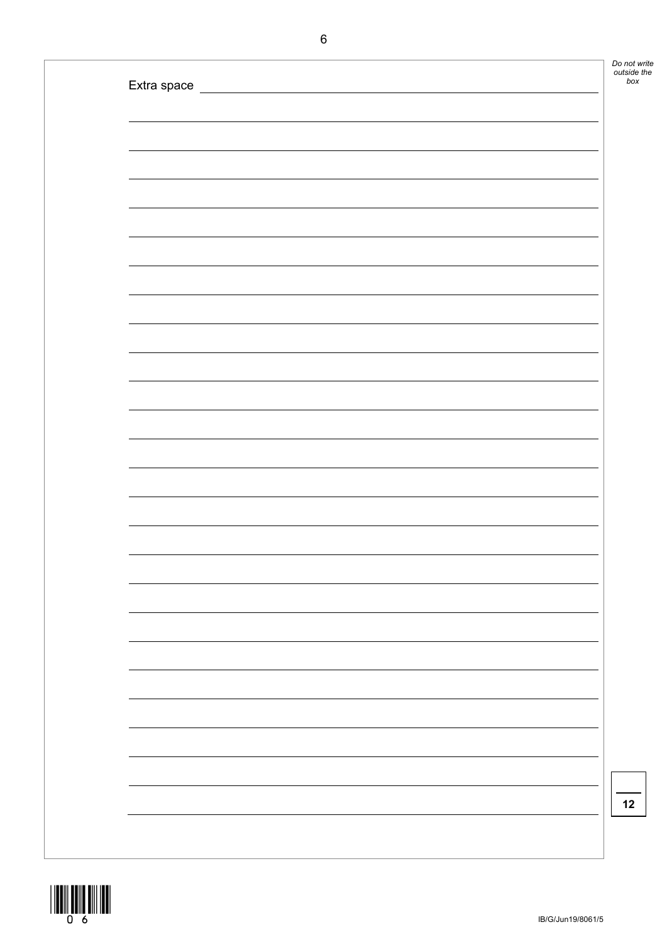

*Do not write outside the box*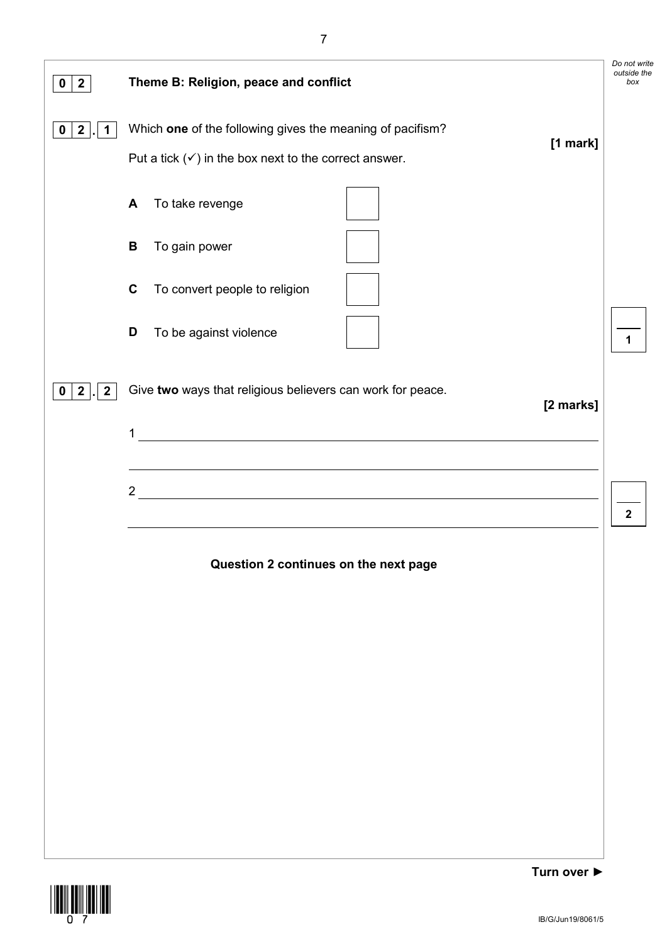| $\overline{2}$<br>$\mathbf 0$       | Theme B: Religion, peace and conflict                                                                                                                                                                | Do not write<br>outside the<br>box |
|-------------------------------------|------------------------------------------------------------------------------------------------------------------------------------------------------------------------------------------------------|------------------------------------|
| $\mathbf{2}$<br>0<br>1              | Which one of the following gives the meaning of pacifism?<br>[1 mark]<br>Put a tick $(\checkmark)$ in the box next to the correct answer.                                                            |                                    |
|                                     | To take revenge<br>A                                                                                                                                                                                 |                                    |
|                                     | To gain power<br>B                                                                                                                                                                                   |                                    |
|                                     | $\mathbf c$<br>To convert people to religion                                                                                                                                                         |                                    |
|                                     | To be against violence<br>D                                                                                                                                                                          | 1                                  |
| $\overline{2}$<br>$\mathbf{2}$<br>0 | Give two ways that religious believers can work for peace.<br>[2 marks]<br><u> 1980 - Johann Stein, marwolaethau a bhann an t-Amhain Aonaich an t-Amhain Aonaich an t-Amhain Aonaich an t-A</u><br>1 |                                    |
|                                     | $\overline{2}$<br><u> 1989 - Johann Stoff, deutscher Stoffen und der Stoffen und der Stoffen und der Stoffen und der Stoffen und der</u>                                                             | $\mathbf{2}$                       |
|                                     | Question 2 continues on the next page                                                                                                                                                                |                                    |
|                                     |                                                                                                                                                                                                      |                                    |
|                                     |                                                                                                                                                                                                      |                                    |
|                                     |                                                                                                                                                                                                      |                                    |
|                                     |                                                                                                                                                                                                      |                                    |
|                                     |                                                                                                                                                                                                      |                                    |
|                                     | Turn over ▶                                                                                                                                                                                          |                                    |

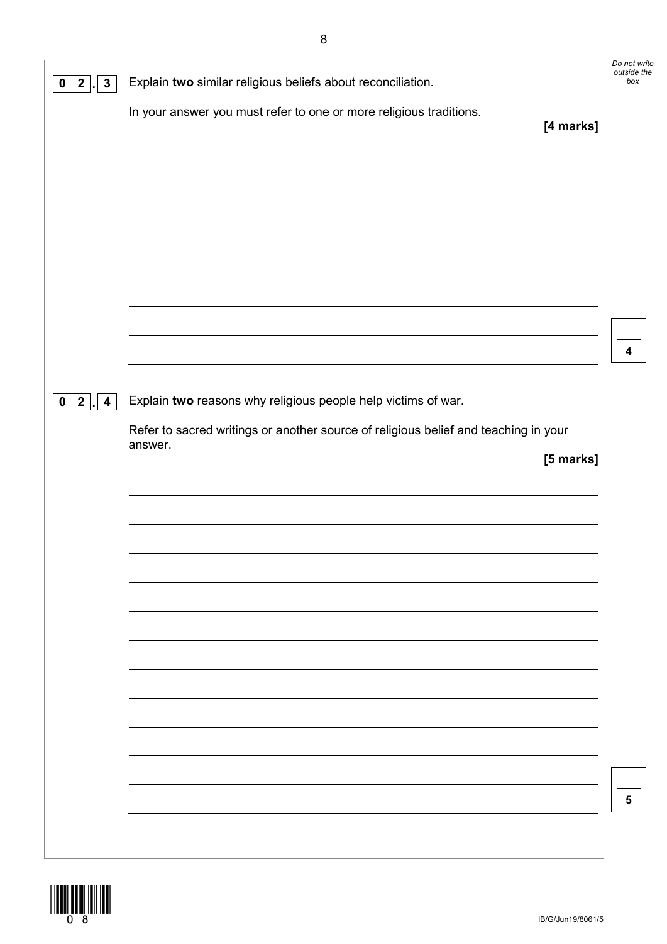| $\mathbf{3}$<br>$\boldsymbol{2}$<br>O | Explain two similar religious beliefs about reconciliation.                                    | Do not write<br>outside the<br>box |
|---------------------------------------|------------------------------------------------------------------------------------------------|------------------------------------|
|                                       | In your answer you must refer to one or more religious traditions.                             |                                    |
|                                       | [4 marks]                                                                                      |                                    |
|                                       |                                                                                                |                                    |
|                                       |                                                                                                |                                    |
|                                       |                                                                                                |                                    |
|                                       |                                                                                                |                                    |
|                                       |                                                                                                |                                    |
|                                       |                                                                                                |                                    |
|                                       |                                                                                                |                                    |
|                                       |                                                                                                | 4                                  |
|                                       |                                                                                                |                                    |
| $\overline{2}$<br>$\mathbf 0$<br>4    | Explain two reasons why religious people help victims of war.                                  |                                    |
|                                       | Refer to sacred writings or another source of religious belief and teaching in your<br>answer. |                                    |
|                                       | [5 marks]                                                                                      |                                    |
|                                       |                                                                                                |                                    |
|                                       |                                                                                                |                                    |
|                                       |                                                                                                |                                    |
|                                       |                                                                                                |                                    |
|                                       |                                                                                                |                                    |
|                                       |                                                                                                |                                    |
|                                       |                                                                                                |                                    |
|                                       |                                                                                                |                                    |
|                                       |                                                                                                |                                    |
|                                       |                                                                                                |                                    |
|                                       |                                                                                                |                                    |
|                                       |                                                                                                | 5                                  |
|                                       |                                                                                                |                                    |
|                                       |                                                                                                |                                    |

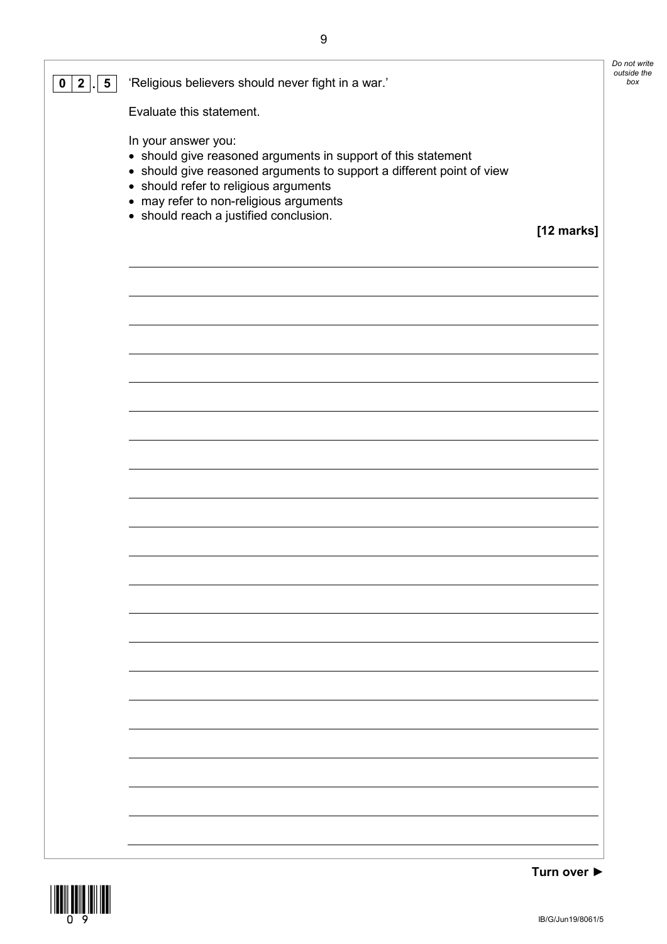|                                      | 'Religious believers should never fight in a war.'                                                                                                                                                                                                                                         | Do not write<br>outside the<br>box |
|--------------------------------------|--------------------------------------------------------------------------------------------------------------------------------------------------------------------------------------------------------------------------------------------------------------------------------------------|------------------------------------|
| $5\phantom{.0}$<br>$\mathbf{2}$<br>0 |                                                                                                                                                                                                                                                                                            |                                    |
|                                      | Evaluate this statement.                                                                                                                                                                                                                                                                   |                                    |
|                                      | In your answer you:<br>• should give reasoned arguments in support of this statement<br>• should give reasoned arguments to support a different point of view<br>• should refer to religious arguments<br>• may refer to non-religious arguments<br>• should reach a justified conclusion. |                                    |
|                                      | [12 marks]                                                                                                                                                                                                                                                                                 |                                    |
|                                      |                                                                                                                                                                                                                                                                                            |                                    |
|                                      |                                                                                                                                                                                                                                                                                            |                                    |
|                                      |                                                                                                                                                                                                                                                                                            |                                    |
|                                      |                                                                                                                                                                                                                                                                                            |                                    |
|                                      |                                                                                                                                                                                                                                                                                            |                                    |
|                                      |                                                                                                                                                                                                                                                                                            |                                    |
|                                      |                                                                                                                                                                                                                                                                                            |                                    |
|                                      |                                                                                                                                                                                                                                                                                            |                                    |
|                                      |                                                                                                                                                                                                                                                                                            |                                    |
|                                      |                                                                                                                                                                                                                                                                                            |                                    |
|                                      |                                                                                                                                                                                                                                                                                            |                                    |
|                                      |                                                                                                                                                                                                                                                                                            |                                    |
|                                      |                                                                                                                                                                                                                                                                                            |                                    |
|                                      |                                                                                                                                                                                                                                                                                            |                                    |
|                                      |                                                                                                                                                                                                                                                                                            |                                    |
|                                      |                                                                                                                                                                                                                                                                                            |                                    |
|                                      |                                                                                                                                                                                                                                                                                            |                                    |
|                                      |                                                                                                                                                                                                                                                                                            |                                    |
|                                      |                                                                                                                                                                                                                                                                                            |                                    |
|                                      |                                                                                                                                                                                                                                                                                            |                                    |
|                                      |                                                                                                                                                                                                                                                                                            |                                    |
|                                      |                                                                                                                                                                                                                                                                                            |                                    |



**Turn over ►**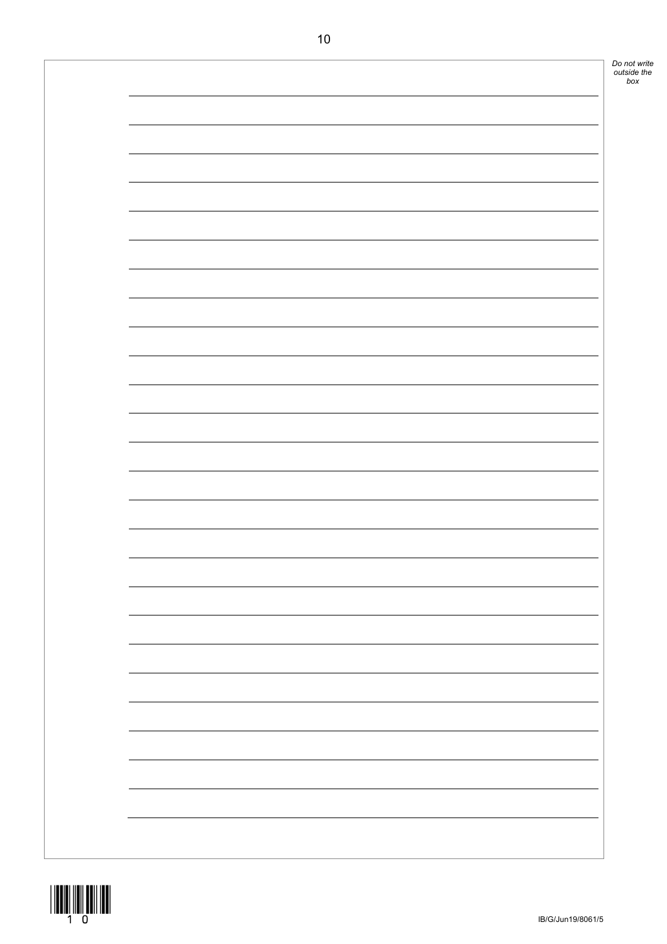

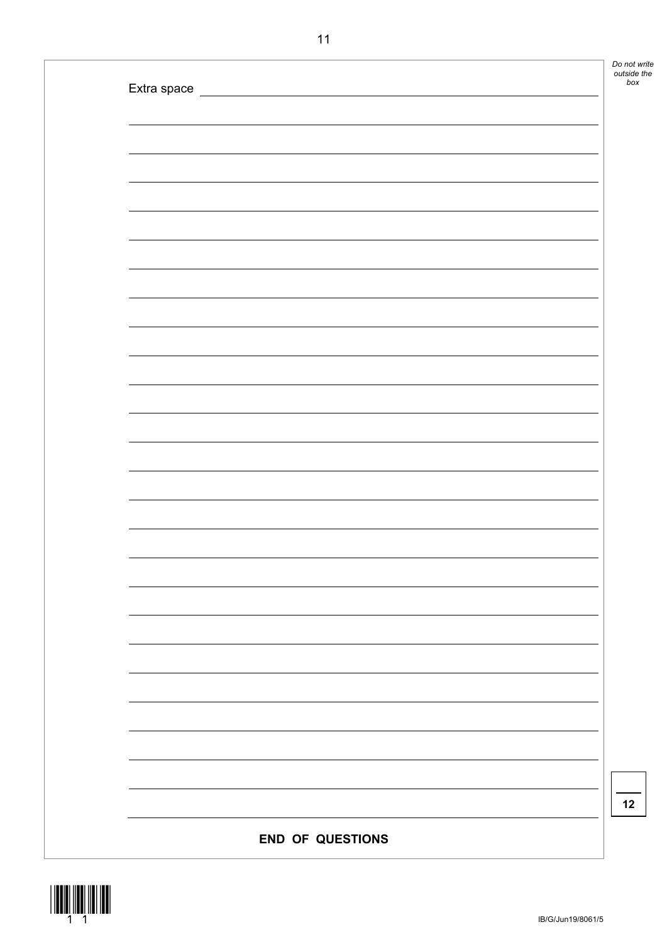

Extra space \_\_\_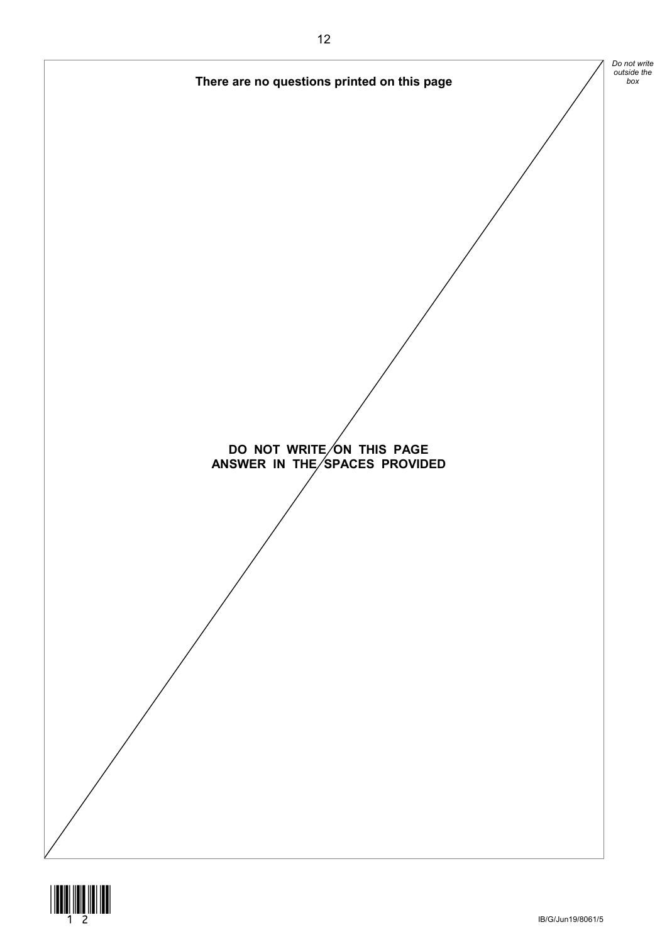

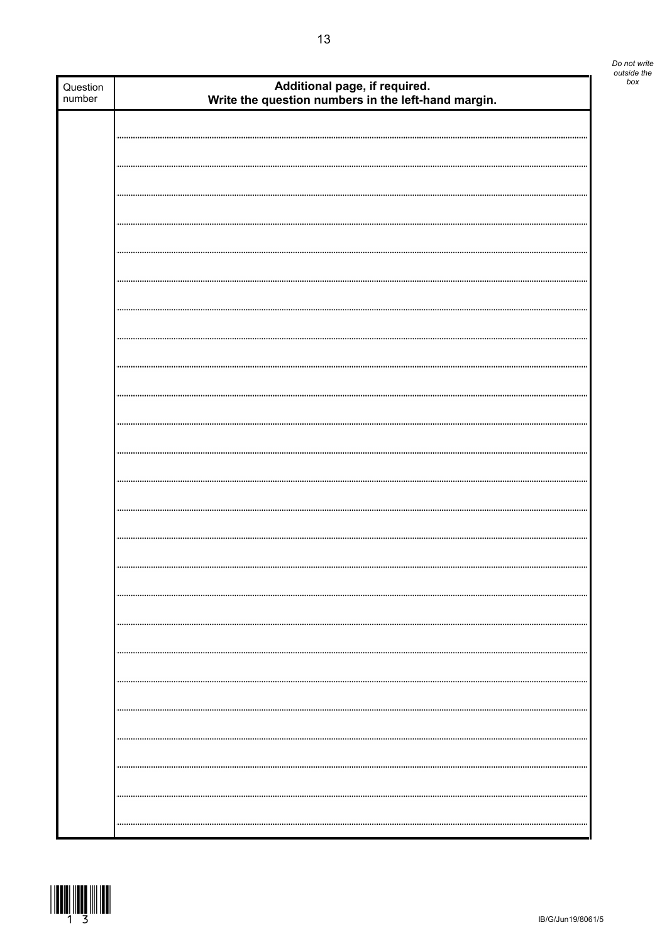| Question<br>number | Additional page, if required.<br>Write the question numbers in the left-hand margin. | bo |
|--------------------|--------------------------------------------------------------------------------------|----|
|                    |                                                                                      |    |
|                    |                                                                                      |    |
|                    |                                                                                      |    |
|                    |                                                                                      |    |
|                    |                                                                                      |    |
|                    |                                                                                      |    |
|                    |                                                                                      |    |
|                    |                                                                                      |    |
|                    |                                                                                      |    |
|                    |                                                                                      |    |
|                    |                                                                                      |    |
|                    |                                                                                      |    |
|                    |                                                                                      |    |
|                    |                                                                                      |    |
|                    |                                                                                      |    |
|                    |                                                                                      |    |
|                    |                                                                                      |    |
|                    |                                                                                      |    |
|                    |                                                                                      |    |
|                    |                                                                                      |    |
|                    |                                                                                      |    |
|                    |                                                                                      |    |
|                    |                                                                                      |    |
|                    |                                                                                      |    |
|                    |                                                                                      |    |
|                    |                                                                                      |    |
|                    |                                                                                      |    |
|                    |                                                                                      |    |
|                    |                                                                                      |    |
|                    |                                                                                      |    |
|                    |                                                                                      |    |
|                    |                                                                                      |    |
|                    |                                                                                      |    |
|                    |                                                                                      |    |
|                    |                                                                                      |    |
|                    |                                                                                      |    |
|                    |                                                                                      |    |



*Do not write outside the*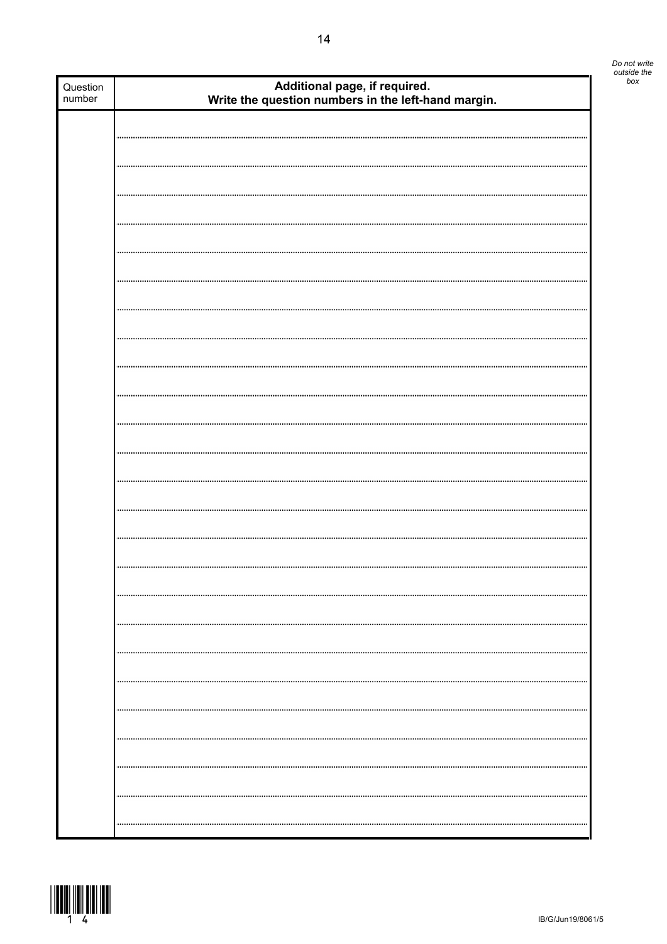| Question<br>number | Additional page, if required.<br>Write the question numbers in the left-hand margin. | bo |
|--------------------|--------------------------------------------------------------------------------------|----|
|                    |                                                                                      |    |
|                    |                                                                                      |    |
|                    |                                                                                      |    |
|                    |                                                                                      |    |
|                    |                                                                                      |    |
|                    |                                                                                      |    |
|                    |                                                                                      |    |
|                    |                                                                                      |    |
|                    |                                                                                      |    |
|                    |                                                                                      |    |
|                    |                                                                                      |    |
|                    |                                                                                      |    |
|                    |                                                                                      |    |
|                    |                                                                                      |    |
|                    |                                                                                      |    |
|                    |                                                                                      |    |
|                    |                                                                                      |    |
|                    |                                                                                      |    |
|                    |                                                                                      |    |
|                    |                                                                                      |    |
|                    |                                                                                      |    |
|                    |                                                                                      |    |
|                    |                                                                                      |    |
|                    |                                                                                      |    |
|                    |                                                                                      |    |
|                    |                                                                                      |    |
|                    |                                                                                      |    |
|                    |                                                                                      |    |
|                    |                                                                                      |    |
|                    |                                                                                      |    |
|                    |                                                                                      |    |
|                    |                                                                                      |    |
|                    |                                                                                      |    |
|                    |                                                                                      |    |
|                    |                                                                                      |    |
|                    |                                                                                      |    |



*Do not write outside the*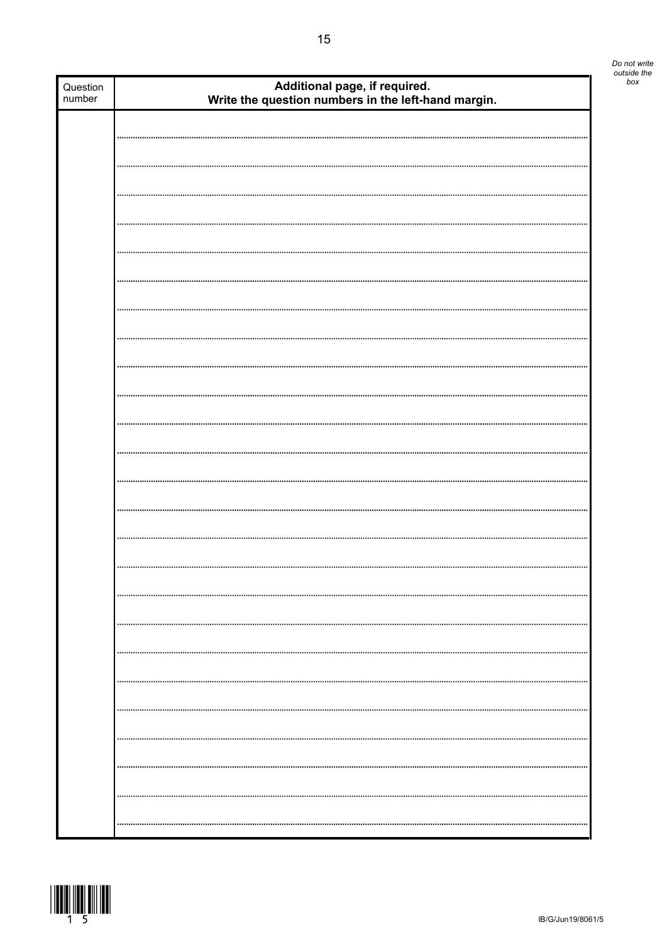| Question<br>number | Additional page, if required.<br>Write the question numbers in the left-hand margin. | bo |
|--------------------|--------------------------------------------------------------------------------------|----|
|                    |                                                                                      |    |
|                    |                                                                                      |    |
|                    |                                                                                      |    |
|                    |                                                                                      |    |
|                    |                                                                                      |    |
|                    |                                                                                      |    |
|                    |                                                                                      |    |
|                    |                                                                                      |    |
|                    |                                                                                      |    |
|                    |                                                                                      |    |
|                    |                                                                                      |    |
|                    |                                                                                      |    |
|                    |                                                                                      |    |
|                    |                                                                                      |    |
|                    |                                                                                      |    |
|                    |                                                                                      |    |
|                    |                                                                                      |    |
|                    |                                                                                      |    |
|                    |                                                                                      |    |
|                    |                                                                                      |    |
|                    |                                                                                      |    |
|                    |                                                                                      |    |
|                    |                                                                                      |    |
|                    |                                                                                      |    |
|                    |                                                                                      |    |
|                    |                                                                                      |    |
|                    |                                                                                      |    |
|                    |                                                                                      |    |
|                    |                                                                                      |    |
|                    |                                                                                      |    |
|                    |                                                                                      |    |
|                    |                                                                                      |    |
|                    |                                                                                      |    |
|                    |                                                                                      |    |
|                    |                                                                                      |    |
|                    |                                                                                      |    |
|                    |                                                                                      |    |



*Do not write outside the*